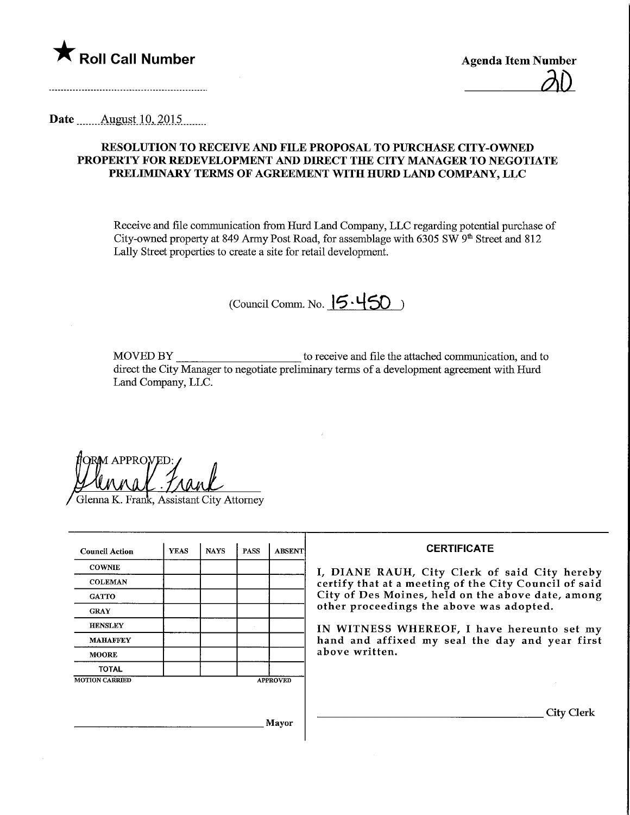

Date ........Aygust.10,.201.5.

## RESOLUTION TO RECEWE AND FILE PROPOSAL TO PURCHASE CITY-OWNED PROPERTY FOR REDEVELOPMENT AND DIRECT THE CITY MANAGER TO NEGOTIATE PRELIMINARY TERMS OF AGREEMENT WITH HURD LAND COMPANY, LLC

Receive and file communication from Hurd Land Company, LLC regarding potential purchase of City-owned property at 849 Army Post Road, for assemblage with 6305 SW 9<sup>th</sup> Street and 812 Lally Street properties to create a site for retail development.

 $($ Council Comm. No.  $|5.450\rangle$ 

MOVED BY to receive and file the attached communication, and to direct the City Manager to negotiate preliminary terms of a development agreement with Hurd Land Company, LLC.

**M APPROVED** 

Glenna K. Frank, Assistant City Attorney

| <b>Council Action</b> | <b>YEAS</b> | <b>NAYS</b> | <b>PASS</b>     | <b>ABSENT</b> |
|-----------------------|-------------|-------------|-----------------|---------------|
| <b>COWNIE</b>         |             |             |                 |               |
| <b>COLEMAN</b>        |             |             |                 |               |
| <b>GATTO</b>          |             |             |                 |               |
| <b>GRAY</b>           |             |             |                 |               |
| <b>HENSLEY</b>        |             |             |                 |               |
| <b>MAHAFFEY</b>       |             |             |                 |               |
| <b>MOORE</b>          |             |             |                 |               |
| <b>TOTAL</b>          |             |             |                 |               |
| <b>MOTION CARRIED</b> |             |             | <b>APPROVED</b> |               |

## **CERTIFICATE**

I, DIANE RAUH, City Clerk of said City hereby certify that at a meeting of the City Council of said City of Des Moines, held on the above date, among other proceedings the above was adopted.

IN WITNESS WHEREOF, I have hereunto set my hand and affixed my seal the day and year first above written.

City Clerk

Mayor